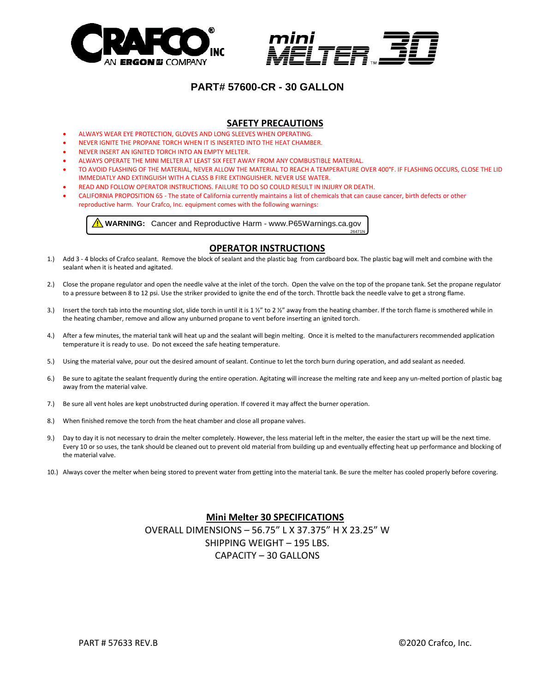



26471N

# **PART# 57600-CR - 30 GALLON**

## **SAFETY PRECAUTIONS**

- ALWAYS WEAR EYE PROTECTION, GLOVES AND LONG SLEEVES WHEN OPERATING.
- NEVER IGNITE THE PROPANE TORCH WHEN IT IS INSERTED INTO THE HEAT CHAMBER.
- NEVER INSERT AN IGNITED TORCH INTO AN EMPTY MELTER.
- ALWAYS OPERATE THE MINI MELTER AT LEAST SIX FEET AWAY FROM ANY COMBUSTIBLE MATERIAL.
- TO AVOID FLASHING OF THE MATERIAL, NEVER ALLOW THE MATERIAL TO REACH A TEMPERATURE OVER 400°F. IF FLASHING OCCURS, CLOSE THE LID IMMEDIATLY AND EXTINGUISH WITH A CLASS B FIRE EXTINGUISHER. NEVER USE WATER.
- READ AND FOLLOW OPERATOR INSTRUCTIONS. FAILURE TO DO SO COULD RESULT IN INJURY OR DEATH.
- CALIFORNIA PROPOSITION 65 The state of California currently maintains a list of chemicals that can cause cancer, birth defects or other reproductive harm. Your Crafco, Inc. equipment comes with the following warnings:

**A** WARNING: Cancer and Reproductive Harm - www.P65Warnings.ca.gov

## **OPERATOR INSTRUCTIONS**

- 1.) Add 3 4 blocks of Crafco sealant. Remove the block of sealant and the plastic bag from cardboard box. The plastic bag will melt and combine with the sealant when it is heated and agitated.
- 2.) Close the propane regulator and open the needle valve at the inlet of the torch. Open the valve on the top of the propane tank. Set the propane regulator to a pressure between 8 to 12 psi. Use the striker provided to ignite the end of the torch. Throttle back the needle valve to get a strong flame.
- 3.) Insert the torch tab into the mounting slot, slide torch in until it is 1  $\frac{1}{2}$  to 2  $\frac{1}{2}$ " away from the heating chamber. If the torch flame is smothered while in the heating chamber, remove and allow any unburned propane to vent before inserting an ignited torch.
- 4.) After a few minutes, the material tank will heat up and the sealant will begin melting. Once it is melted to the manufacturers recommended application temperature it is ready to use. Do not exceed the safe heating temperature.
- 5.) Using the material valve, pour out the desired amount of sealant. Continue to let the torch burn during operation, and add sealant as needed.
- 6.) Be sure to agitate the sealant frequently during the entire operation. Agitating will increase the melting rate and keep any un-melted portion of plastic bag away from the material valve.
- 7.) Be sure all vent holes are kept unobstructed during operation. If covered it may affect the burner operation.
- 8.) When finished remove the torch from the heat chamber and close all propane valves.
- 9.) Day to day it is not necessary to drain the melter completely. However, the less material left in the melter, the easier the start up will be the next time. Every 10 or so uses, the tank should be cleaned out to prevent old material from building up and eventually effecting heat up performance and blocking of the material valve.
- 10.) Always cover the melter when being stored to prevent water from getting into the material tank. Be sure the melter has cooled properly before covering.

## **Mini Melter 30 SPECIFICATIONS** OVERALL DIMENSIONS – 56.75" L X 37.375" H X 23.25" W SHIPPING WEIGHT – 195 LBS. CAPACITY – 30 GALLONS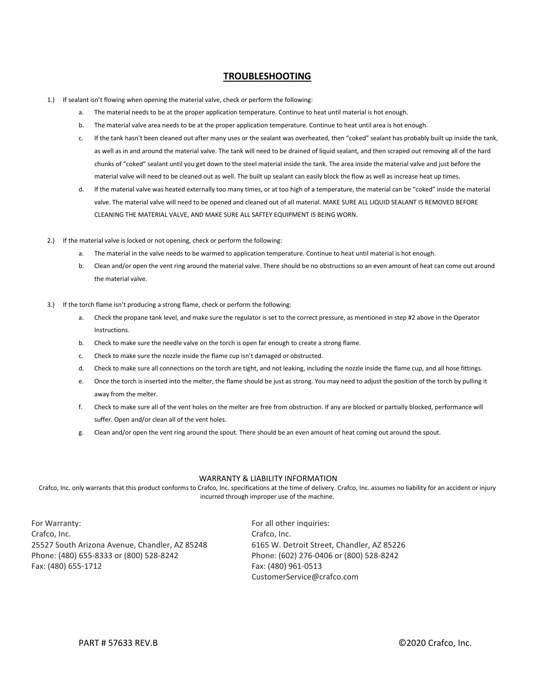## **TROUBLESHOOTING**

- 1.) If sealant isn't flowing when opening the material valve, check or perform the following:
	- a. The material needs to be at the proper application temperature. Continue to heat until material is hot enough.
	- b. The material valve area needs to be at the proper application temperature. Continue to heat until area is hot enough.
	- c. If the tank hasn't been cleaned out after many uses or the sealant was overheated, then "coked" sealant has probably built up inside the tank, as well as in and around the material valve. The tank will need to be drained of liquid sealant, and then scraped out removing all of the hard chunks of "coked" sealant until you get down to the steel material inside the tank. The area inside the material valve and just before the material valve will need to be cleaned out as well. The built up sealant can easily block the flow as well as increase heat up times.
	- d. If the material valve was heated externally too many times, or at too high of a temperature, the material can be "coked" inside the material valve. The material valve will need to be opened and cleaned out of all material. MAKE SURE ALL LIQUID SEALANT IS REMOVED BEFORE CLEANING THE MATERIAL VALVE, AND MAKE SURE ALL SAFTEY EQUIPMENT IS BEING WORN.
- 2.) If the material valve is locked or not opening, check or perform the following:
	- a. The material in the valve needs to be warmed to application temperature. Continue to heat until material is hot enough.
	- b. Clean and/or open the vent ring around the material valve. There should be no obstructions so an even amount of heat can come out around the material valve.
- 3.) If the torch flame isn't producing a strong flame, check or perform the following:
	- a. Check the propane tank level, and make sure the regulator is set to the correct pressure, as mentioned in step #2 above in the Operator Instructions.
	- b. Check to make sure the needle valve on the torch is open far enough to create a strong flame.
	- c. Check to make sure the nozzle inside the flame cup isn't damaged or obstructed.
	- d. Check to make sure all connections on the torch are tight, and not leaking, including the nozzle inside the flame cup, and all hose fittings.
	- e. Once the torch is inserted into the melter, the flame should be just as strong. You may need to adjust the position of the torch by pulling it away from the melter.
	- f. Check to make sure all of the vent holes on the melter are free from obstruction. If any are blocked or partially blocked, performance will suffer. Open and/or clean all of the vent holes.
	- g. Clean and/or open the vent ring around the spout. There should be an even amount of heat coming out around the spout.

#### WARRANTY & LIABILITY INFORMATION

Crafco, Inc. only warrants that this product conforms to Crafco, Inc. specifications at the time of delivery. Crafco, Inc. assumes no liability for an accident or injury incurred through improper use of the machine.

For Warranty: For all other inquiries: Crafco, Inc. Crafco, Inc. 25527 South Arizona Avenue, Chandler, AZ 85248 6165 W. Detroit Street, Chandler, AZ 85226 Phone: (480) 655-8333 or (800) 528-8242 Phone: (602) 276-0406 or (800) 528-8242 Fax: (480) 655-1712 Fax: (480) 961-0513

CustomerService@crafco.com